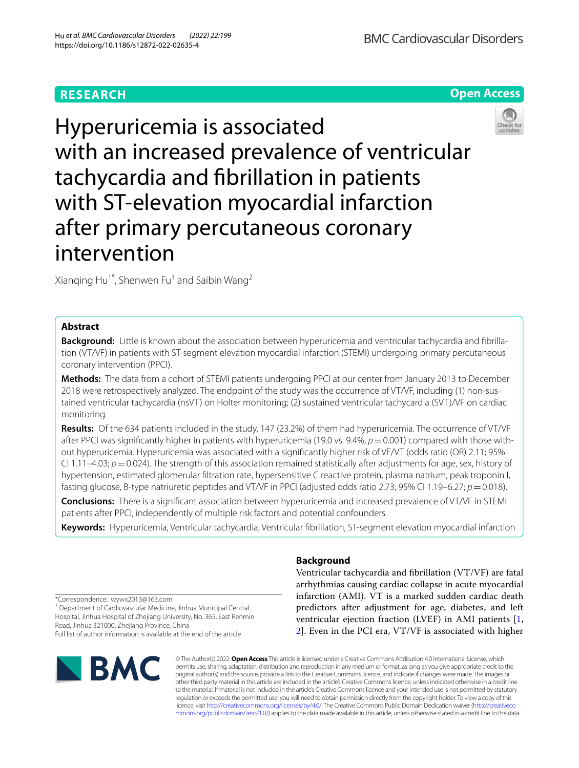# **RESEARCH**

**Open Access**





Xianqing Hu<sup>1\*</sup>, Shenwen Fu<sup>1</sup> and Saibin Wang<sup>2</sup>

## **Abstract**

**Background:** Little is known about the association between hyperuricemia and ventricular tachycardia and fbrillation (VT/VF) in patients with ST-segment elevation myocardial infarction (STEMI) undergoing primary percutaneous coronary intervention (PPCI).

**Methods:** The data from a cohort of STEMI patients undergoing PPCI at our center from January 2013 to December 2018 were retrospectively analyzed. The endpoint of the study was the occurrence of VT/VF, including (1) non-sustained ventricular tachycardia (nsVT) on Holter monitoring; (2) sustained ventricular tachycardia (SVT)/VF on cardiac monitoring.

**Results:** Of the 634 patients included in the study, 147 (23.2%) of them had hyperuricemia. The occurrence of VT/VF after PPCI was significantly higher in patients with hyperuricemia (19.0 vs. 9.4%,  $p=0.001$ ) compared with those without hyperuricemia. Hyperuricemia was associated with a signifcantly higher risk of VF/VT (odds ratio (OR) 2.11; 95% CI 1.11–4.03;  $p = 0.024$ ). The strength of this association remained statistically after adjustments for age, sex, history of hypertension, estimated glomerular fltration rate, hypersensitive C reactive protein, plasma natrium, peak troponin I, fasting glucose, B-type natriuretic peptides and VT/VF in PPCI (adjusted odds ratio 2.73; 95% CI 1.19–6.27; *p* = 0.018).

**Conclusions:** There is a signifcant association between hyperuricemia and increased prevalence of VT/VF in STEMI patients after PPCI, independently of multiple risk factors and potential confounders.

**Keywords:** Hyperuricemia, Ventricular tachycardia, Ventricular fbrillation, ST-segment elevation myocardial infarction

## **Background**

Ventricular tachycardia and fbrillation (VT/VF) are fatal arrhythmias causing cardiac collapse in acute myocardial infarction (AMI). VT is a marked sudden cardiac death predictors after adjustment for age, diabetes, and left ventricular ejection fraction (LVEF) in AMI patients [\[1](#page-6-0), [2\]](#page-6-1). Even in the PCI era, VT/VF is associated with higher

\*Correspondence: wywx2013@163.com

<sup>1</sup> Department of Cardiovascular Medicine, Jinhua Municipal Central Hospital, Jinhua Hospital of Zhejiang University, No. 365, East Renmin Road, Jinhua 321000, Zhejiang Province, China

Full list of author information is available at the end of the article



© The Author(s) 2022. **Open Access** This article is licensed under a Creative Commons Attribution 4.0 International License, which permits use, sharing, adaptation, distribution and reproduction in any medium or format, as long as you give appropriate credit to the original author(s) and the source, provide a link to the Creative Commons licence, and indicate if changes were made. The images or other third party material in this article are included in the article's Creative Commons licence, unless indicated otherwise in a credit line to the material. If material is not included in the article's Creative Commons licence and your intended use is not permitted by statutory regulation or exceeds the permitted use, you will need to obtain permission directly from the copyright holder. To view a copy of this licence, visi[t http://creativecommons.org/licenses/by/4.0/.](http://creativecommons.org/licenses/by/4.0/) The Creative Commons Public Domain Dedication waiver ([http://creativeco](http://creativecommons.org/publicdomain/zero/1.0/) [mmons.org/publicdomain/zero/1.0/](http://creativecommons.org/publicdomain/zero/1.0/)) applies to the data made available in this article, unless otherwise stated in a credit line to the data.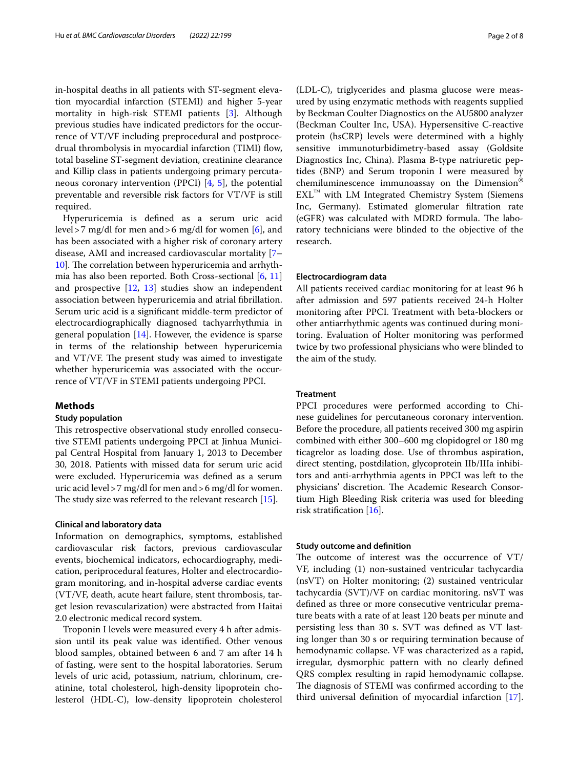in-hospital deaths in all patients with ST-segment elevation myocardial infarction (STEMI) and higher 5-year mortality in high-risk STEMI patients [\[3](#page-6-2)]. Although previous studies have indicated predictors for the occurrence of VT/VF including preprocedural and postprocedrual thrombolysis in myocardial infarction (TIMI) fow, total baseline ST-segment deviation, creatinine clearance and Killip class in patients undergoing primary percutaneous coronary intervention (PPCI) [\[4](#page-6-3), [5\]](#page-6-4), the potential preventable and reversible risk factors for VT/VF is still required.

Hyperuricemia is defned as a serum uric acid level>7 mg/dl for men and>6 mg/dl for women [\[6](#page-6-5)], and has been associated with a higher risk of coronary artery disease, AMI and increased cardiovascular mortality [[7–](#page-6-6) [10\]](#page-6-7). The correlation between hyperuricemia and arrhythmia has also been reported. Both Cross-sectional [\[6](#page-6-5), [11](#page-6-8)] and prospective [[12](#page-6-9), [13\]](#page-6-10) studies show an independent association between hyperuricemia and atrial fbrillation. Serum uric acid is a signifcant middle-term predictor of electrocardiographically diagnosed tachyarrhythmia in general population  $[14]$  $[14]$ . However, the evidence is sparse in terms of the relationship between hyperuricemia and VT/VF. The present study was aimed to investigate whether hyperuricemia was associated with the occurrence of VT/VF in STEMI patients undergoing PPCI.

## **Methods**

## **Study population**

This retrospective observational study enrolled consecutive STEMI patients undergoing PPCI at Jinhua Municipal Central Hospital from January 1, 2013 to December 30, 2018. Patients with missed data for serum uric acid were excluded. Hyperuricemia was defned as a serum uric acid level>7 mg/dl for men and>6 mg/dl for women. The study size was referred to the relevant research  $[15]$  $[15]$ .

## **Clinical and laboratory data**

Information on demographics, symptoms, established cardiovascular risk factors, previous cardiovascular events, biochemical indicators, echocardiography, medication, periprocedural features, Holter and electrocardiogram monitoring, and in-hospital adverse cardiac events (VT/VF, death, acute heart failure, stent thrombosis, target lesion revascularization) were abstracted from Haitai 2.0 electronic medical record system.

Troponin I levels were measured every 4 h after admission until its peak value was identifed. Other venous blood samples, obtained between 6 and 7 am after 14 h of fasting, were sent to the hospital laboratories. Serum levels of uric acid, potassium, natrium, chlorinum, creatinine, total cholesterol, high-density lipoprotein cholesterol (HDL-C), low-density lipoprotein cholesterol (LDL-C), triglycerides and plasma glucose were measured by using enzymatic methods with reagents supplied by Beckman Coulter Diagnostics on the AU5800 analyzer (Beckman Coulter Inc, USA). Hypersensitive C-reactive protein (hsCRP) levels were determined with a highly sensitive immunoturbidimetry-based assay (Goldsite Diagnostics Inc, China). Plasma B-type natriuretic peptides (BNP) and Serum troponin I were measured by chemiluminescence immunoassay on the Dimension® EXL™ with LM Integrated Chemistry System (Siemens Inc, Germany). Estimated glomerular fltration rate (eGFR) was calculated with MDRD formula. The laboratory technicians were blinded to the objective of the research.

## **Electrocardiogram data**

All patients received cardiac monitoring for at least 96 h after admission and 597 patients received 24-h Holter monitoring after PPCI. Treatment with beta-blockers or other antiarrhythmic agents was continued during monitoring. Evaluation of Holter monitoring was performed twice by two professional physicians who were blinded to the aim of the study.

## **Treatment**

PPCI procedures were performed according to Chinese guidelines for percutaneous coronary intervention. Before the procedure, all patients received 300 mg aspirin combined with either 300–600 mg clopidogrel or 180 mg ticagrelor as loading dose. Use of thrombus aspiration, direct stenting, postdilation, glycoprotein IIb/IIIa inhibitors and anti-arrhythmia agents in PPCI was left to the physicians' discretion. The Academic Research Consortium High Bleeding Risk criteria was used for bleeding risk stratifcation [[16](#page-6-13)].

## **Study outcome and defnition**

The outcome of interest was the occurrence of  $VT/$ VF, including (1) non-sustained ventricular tachycardia (nsVT) on Holter monitoring; (2) sustained ventricular tachycardia (SVT)/VF on cardiac monitoring. nsVT was defned as three or more consecutive ventricular premature beats with a rate of at least 120 beats per minute and persisting less than 30 s. SVT was defned as VT lasting longer than 30 s or requiring termination because of hemodynamic collapse. VF was characterized as a rapid, irregular, dysmorphic pattern with no clearly defned QRS complex resulting in rapid hemodynamic collapse. The diagnosis of STEMI was confirmed according to the third universal defnition of myocardial infarction [\[17](#page-6-14)].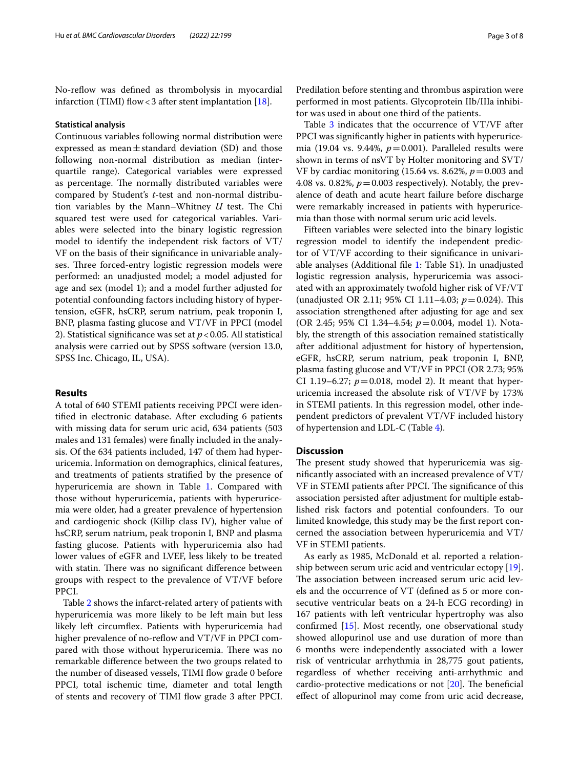No-reflow was defined as thrombolysis in myocardial infarction (TIMI) flow < 3 after stent implantation [[18\]](#page-6-15).

## **Statistical analysis**

Continuous variables following normal distribution were expressed as mean $\pm$ standard deviation (SD) and those following non-normal distribution as median (interquartile range). Categorical variables were expressed as percentage. The normally distributed variables were compared by Student's *t*-test and non-normal distribution variables by the Mann–Whitney *U* test. The Chi squared test were used for categorical variables. Variables were selected into the binary logistic regression model to identify the independent risk factors of VT/ VF on the basis of their signifcance in univariable analyses. Three forced-entry logistic regression models were performed: an unadjusted model; a model adjusted for age and sex (model 1); and a model further adjusted for potential confounding factors including history of hypertension, eGFR, hsCRP, serum natrium, peak troponin I, BNP, plasma fasting glucose and VT/VF in PPCI (model 2). Statistical signifcance was set at *p*<0.05. All statistical analysis were carried out by SPSS software (version 13.0, SPSS Inc. Chicago, IL, USA).

## **Results**

A total of 640 STEMI patients receiving PPCI were identifed in electronic database. After excluding 6 patients with missing data for serum uric acid, 634 patients (503 males and 131 females) were fnally included in the analysis. Of the 634 patients included, 147 of them had hyperuricemia. Information on demographics, clinical features, and treatments of patients stratifed by the presence of hyperuricemia are shown in Table [1](#page-3-0). Compared with those without hyperuricemia, patients with hyperuricemia were older, had a greater prevalence of hypertension and cardiogenic shock (Killip class IV), higher value of hsCRP, serum natrium, peak troponin I, BNP and plasma fasting glucose. Patients with hyperuricemia also had lower values of eGFR and LVEF, less likely to be treated with statin. There was no significant difference between groups with respect to the prevalence of VT/VF before PPCI.

Table [2](#page-4-0) shows the infarct-related artery of patients with hyperuricemia was more likely to be left main but less likely left circumflex. Patients with hyperuricemia had higher prevalence of no-reflow and VT/VF in PPCI compared with those without hyperuricemia. There was no remarkable diference between the two groups related to the number of diseased vessels, TIMI flow grade 0 before PPCI, total ischemic time, diameter and total length of stents and recovery of TIMI fow grade 3 after PPCI.

Predilation before stenting and thrombus aspiration were performed in most patients. Glycoprotein IIb/IIIa inhibitor was used in about one third of the patients.

Table  $3$  indicates that the occurrence of  $VT/VF$  after PPCI was signifcantly higher in patients with hyperuricemia (19.04 vs. 9.44%,  $p=0.001$ ). Paralleled results were shown in terms of nsVT by Holter monitoring and SVT/ VF by cardiac monitoring (15.64 vs. 8.62%, *p*=0.003 and 4.08 vs. 0.82%,  $p = 0.003$  respectively). Notably, the prevalence of death and acute heart failure before discharge were remarkably increased in patients with hyperuricemia than those with normal serum uric acid levels.

Fifteen variables were selected into the binary logistic regression model to identify the independent predictor of VT/VF according to their signifcance in univariable analyses (Additional fle [1:](#page-6-16) Table S1). In unadjusted logistic regression analysis, hyperuricemia was associated with an approximately twofold higher risk of VF/VT (unadjusted OR 2.11; 95% CI 1.11–4.03; *p*=0.024). Tis association strengthened after adjusting for age and sex (OR 2.45; 95% CI 1.34–4.54; *p*=0.004, model 1). Notably, the strength of this association remained statistically after additional adjustment for history of hypertension, eGFR, hsCRP, serum natrium, peak troponin I, BNP, plasma fasting glucose and VT/VF in PPCI (OR 2.73; 95% CI 1.19–6.27;  $p = 0.018$ , model 2). It meant that hyperuricemia increased the absolute risk of VT/VF by 173% in STEMI patients. In this regression model, other independent predictors of prevalent VT/VF included history of hypertension and LDL-C (Table [4](#page-5-1)).

## **Discussion**

The present study showed that hyperuricemia was signifcantly associated with an increased prevalence of VT/ VF in STEMI patients after PPCI. The significance of this association persisted after adjustment for multiple established risk factors and potential confounders. To our limited knowledge, this study may be the frst report concerned the association between hyperuricemia and VT/ VF in STEMI patients.

As early as 1985, McDonald et al. reported a relationship between serum uric acid and ventricular ectopy [\[19](#page-6-17)]. The association between increased serum uric acid levels and the occurrence of VT (defned as 5 or more consecutive ventricular beats on a 24-h ECG recording) in 167 patients with left ventricular hypertrophy was also confrmed [\[15](#page-6-12)]. Most recently, one observational study showed allopurinol use and use duration of more than 6 months were independently associated with a lower risk of ventricular arrhythmia in 28,775 gout patients, regardless of whether receiving anti-arrhythmic and cardio-protective medications or not  $[20]$  $[20]$ . The beneficial efect of allopurinol may come from uric acid decrease,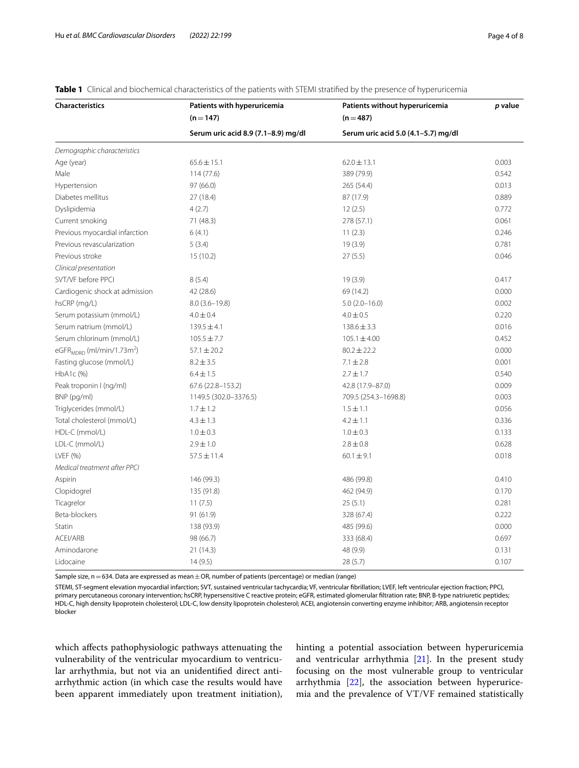| <b>Characteristics</b>                      | Patients with hyperuricemia         | Patients without hyperuricemia      | p value |  |
|---------------------------------------------|-------------------------------------|-------------------------------------|---------|--|
|                                             | $(n=147)$                           | $(n=487)$                           |         |  |
|                                             | Serum uric acid 8.9 (7.1-8.9) mg/dl | Serum uric acid 5.0 (4.1-5.7) mg/dl |         |  |
| Demographic characteristics                 |                                     |                                     |         |  |
| Age (year)                                  | $65.6 \pm 15.1$                     | $62.0 \pm 13.1$                     | 0.003   |  |
| Male                                        | 114 (77.6)                          | 389 (79.9)                          | 0.542   |  |
| Hypertension                                | 97 (66.0)                           | 265 (54.4)                          | 0.013   |  |
| Diabetes mellitus                           | 27 (18.4)                           | 87 (17.9)                           | 0.889   |  |
| Dyslipidemia                                | 4(2.7)                              | 12(2.5)                             | 0.772   |  |
| Current smoking                             | 71 (48.3)                           | 278 (57.1)                          | 0.061   |  |
| Previous myocardial infarction              | 6(4.1)                              | 11(2.3)                             | 0.246   |  |
| Previous revascularization                  | 5(3.4)                              | 19(3.9)                             | 0.781   |  |
| Previous stroke                             | 15(10.2)                            | 27(5.5)                             | 0.046   |  |
| Clinical presentation                       |                                     |                                     |         |  |
| SVT/VF before PPCI                          | 8(5.4)                              | 19(3.9)                             | 0.417   |  |
| Cardiogenic shock at admission              | 42 (28.6)                           | 69 (14.2)                           | 0.000   |  |
| hsCRP (mg/L)                                | $8.0(3.6-19.8)$                     | $5.0(2.0-16.0)$                     | 0.002   |  |
| Serum potassium (mmol/L)                    | $4.0 \pm 0.4$                       | $4.0 \pm 0.5$                       | 0.220   |  |
| Serum natrium (mmol/L)                      | $139.5 \pm 4.1$                     | $138.6 \pm 3.3$                     | 0.016   |  |
| Serum chlorinum (mmol/L)                    | $105.5 \pm 7.7$                     | $105.1 \pm 4.00$                    | 0.452   |  |
| eGFR $_{MDRD}$ (ml/min/1.73m <sup>2</sup> ) | $57.1 \pm 20.2$                     | $80.2 \pm 22.2$                     | 0.000   |  |
| Fasting glucose (mmol/L)                    | $8.2 \pm 3.5$                       | $7.1 \pm 2.8$                       | 0.001   |  |
| HbA1c (%)                                   | $6.4 \pm 1.5$                       | $2.7 \pm 1.7$                       | 0.540   |  |
| Peak troponin I (ng/ml)                     | 67.6 (22.8-153.2)                   | 42.8 (17.9-87.0)                    | 0.009   |  |
| BNP (pg/ml)                                 | 1149.5 (302.0-3376.5)               | 709.5 (254.3-1698.8)                | 0.003   |  |
| Triglycerides (mmol/L)                      | $1.7 \pm 1.2$                       | $1.5 \pm 1.1$                       | 0.056   |  |
| Total cholesterol (mmol/L)                  | $4.3 \pm 1.3$                       | $4.2 \pm 1.1$                       | 0.336   |  |
| HDL-C (mmol/L)                              | $1.0 \pm 0.3$                       | $1.0 \pm 0.3$                       | 0.133   |  |
| LDL-C (mmol/L)                              | $2.9 \pm 1.0$                       | $2.8 \pm 0.8$                       | 0.628   |  |
| LVEF(%)                                     | $57.5 \pm 11.4$                     | $60.1 \pm 9.1$                      | 0.018   |  |
| Medical treatment after PPCI                |                                     |                                     |         |  |
| Aspirin                                     | 146 (99.3)                          | 486 (99.8)                          | 0.410   |  |
| Clopidogrel                                 | 135 (91.8)                          | 462 (94.9)                          | 0.170   |  |
| Ticagrelor                                  | 11(7.5)                             | 25(5.1)                             | 0.281   |  |
| Beta-blockers                               | 91(61.9)                            | 328 (67.4)                          | 0.222   |  |
| Statin                                      | 138 (93.9)                          | 485 (99.6)                          | 0.000   |  |
| ACEI/ARB                                    | 98 (66.7)                           | 333 (68.4)                          | 0.697   |  |
| Aminodarone                                 | 21(14.3)                            | 48 (9.9)                            | 0.131   |  |
| Lidocaine                                   | 14(9.5)                             | 28(5.7)                             | 0.107   |  |

## <span id="page-3-0"></span>**Table 1** Clinical and biochemical characteristics of the patients with STEMI stratified by the presence of hyperuricemia

Sample size,  $n=634$ . Data are expressed as mean  $\pm$  OR, number of patients (percentage) or median (range)

STEMI, ST-segment elevation myocardial infarction; SVT, sustained ventricular tachycardia; VF, ventricular fbrillation; LVEF, left ventricular ejection fraction; PPCI, primary percutaneous coronary intervention; hsCRP, hypersensitive C reactive protein; eGFR, estimated glomerular fltration rate; BNP, B-type natriuretic peptides; HDL-C, high density lipoprotein cholesterol; LDL-C, low density lipoprotein cholesterol; ACEI, angiotensin converting enzyme inhibitor; ARB, angiotensin receptor blocker

which afects pathophysiologic pathways attenuating the vulnerability of the ventricular myocardium to ventricular arrhythmia, but not via an unidentifed direct antiarrhythmic action (in which case the results would have been apparent immediately upon treatment initiation), hinting a potential association between hyperuricemia and ventricular arrhythmia [[21\]](#page-7-0). In the present study focusing on the most vulnerable group to ventricular arrhythmia [[22](#page-7-1)], the association between hyperuricemia and the prevalence of VT/VF remained statistically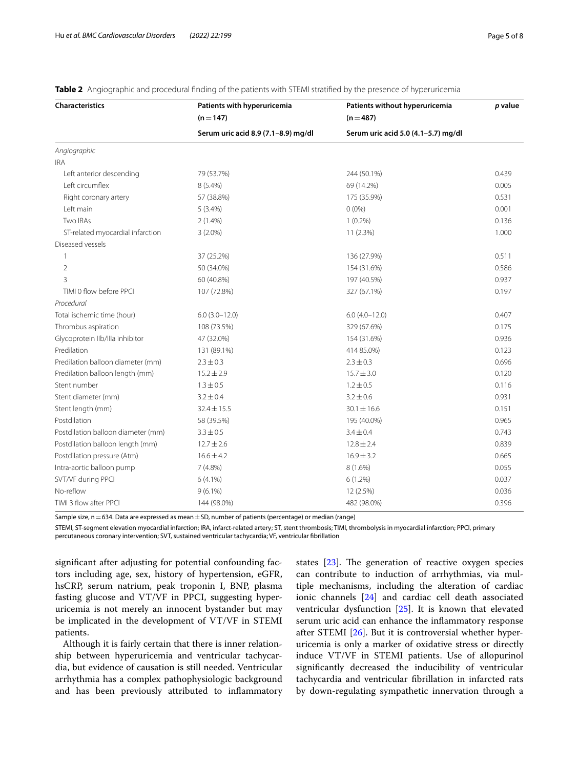| <b>Characteristics</b>             | Patients with hyperuricemia         | Patients without hyperuricemia      | p value |
|------------------------------------|-------------------------------------|-------------------------------------|---------|
|                                    | $(n = 147)$                         | $(n=487)$                           |         |
|                                    | Serum uric acid 8.9 (7.1-8.9) mg/dl | Serum uric acid 5.0 (4.1-5.7) mg/dl |         |
| Angiographic                       |                                     |                                     |         |
| <b>IRA</b>                         |                                     |                                     |         |
| Left anterior descending           | 79 (53.7%)                          | 244 (50.1%)                         | 0.439   |
| Left circumflex                    | 8 (5.4%)                            | 69 (14.2%)                          | 0.005   |
| Right coronary artery              | 57 (38.8%)                          | 175 (35.9%)                         | 0.531   |
| Left main                          | $5(3.4\%)$                          | $0(0\%)$                            | 0.001   |
| <b>Two IRAs</b>                    | $2(1.4\%)$                          | $1(0.2\%)$                          | 0.136   |
| ST-related myocardial infarction   | $3(2.0\%)$                          | 11(2.3%)                            | 1.000   |
| Diseased vessels                   |                                     |                                     |         |
| $\mathbf{1}$                       | 37 (25.2%)                          | 136 (27.9%)                         | 0.511   |
| $\overline{2}$                     | 50 (34.0%)                          | 154 (31.6%)                         | 0.586   |
| 3                                  | 60 (40.8%)                          | 197 (40.5%)                         | 0.937   |
| TIMI 0 flow before PPCI            | 107 (72.8%)                         | 327 (67.1%)                         | 0.197   |
| Procedural                         |                                     |                                     |         |
| Total ischemic time (hour)         | $6.0(3.0-12.0)$                     | $6.0(4.0 - 12.0)$                   | 0.407   |
| Thrombus aspiration                | 108 (73.5%)                         | 329 (67.6%)                         | 0.175   |
| Glycoprotein Ilb/Illa inhibitor    | 47 (32.0%)                          | 154 (31.6%)                         | 0.936   |
| Predilation                        | 131 (89.1%)                         | 414 85.0%)                          | 0.123   |
| Predilation balloon diameter (mm)  | $2.3 \pm 0.3$                       | $2.3 \pm 0.3$                       | 0.696   |
| Predilation balloon length (mm)    | $15.2 \pm 2.9$                      | $15.7 \pm 3.0$                      | 0.120   |
| Stent number                       | $1.3 \pm 0.5$                       | $1.2 \pm 0.5$                       | 0.116   |
| Stent diameter (mm)                | $3.2 \pm 0.4$                       | $3.2 \pm 0.6$                       | 0.931   |
| Stent length (mm)                  | $32.4 \pm 15.5$                     | $30.1 \pm 16.6$                     | 0.151   |
| Postdilation                       | 58 (39.5%)                          | 195 (40.0%)                         | 0.965   |
| Postdilation balloon diameter (mm) | $3.3 \pm 0.5$                       | $3.4 \pm 0.4$                       | 0.743   |
| Postdilation balloon length (mm)   | $12.7 \pm 2.6$                      | $12.8 \pm 2.4$                      | 0.839   |
| Postdilation pressure (Atm)        | $16.6 \pm 4.2$                      | $16.9 \pm 3.2$                      | 0.665   |
| Intra-aortic balloon pump          | $7(4.8\%)$                          | 8 (1.6%)                            | 0.055   |
| SVT/VF during PPCI                 | $6(4.1\%)$                          | $6(1.2\%)$                          | 0.037   |
| No-reflow                          | $9(6.1\%)$                          | 12 (2.5%)                           | 0.036   |
| TIMI 3 flow after PPCI             | 144 (98.0%)                         | 482 (98.0%)                         | 0.396   |

<span id="page-4-0"></span>

|  | Table 2 Angiographic and procedural finding of the patients with STEMI stratified by the presence of hyperuricemia |  |  |  |  |  |  |
|--|--------------------------------------------------------------------------------------------------------------------|--|--|--|--|--|--|
|--|--------------------------------------------------------------------------------------------------------------------|--|--|--|--|--|--|

Sample size,  $n=634$ . Data are expressed as mean  $\pm$  SD, number of patients (percentage) or median (range)

STEMI, ST-segment elevation myocardial infarction; IRA, infarct-related artery; ST, stent thrombosis; TIMI, thrombolysis in myocardial infarction; PPCI, primary percutaneous coronary intervention; SVT, sustained ventricular tachycardia; VF, ventricular fbrillation

signifcant after adjusting for potential confounding factors including age, sex, history of hypertension, eGFR, hsCRP, serum natrium, peak troponin I, BNP, plasma fasting glucose and VT/VF in PPCI, suggesting hyperuricemia is not merely an innocent bystander but may be implicated in the development of VT/VF in STEMI patients.

Although it is fairly certain that there is inner relationship between hyperuricemia and ventricular tachycardia, but evidence of causation is still needed. Ventricular arrhythmia has a complex pathophysiologic background and has been previously attributed to infammatory

states  $[23]$  $[23]$ . The generation of reactive oxygen species can contribute to induction of arrhythmias, via multiple mechanisms, including the alteration of cardiac ionic channels [\[24\]](#page-7-3) and cardiac cell death associated ventricular dysfunction [\[25\]](#page-7-4). It is known that elevated serum uric acid can enhance the infammatory response after STEMI [\[26\]](#page-7-5). But it is controversial whether hyperuricemia is only a marker of oxidative stress or directly induce VT/VF in STEMI patients. Use of allopurinol signifcantly decreased the inducibility of ventricular tachycardia and ventricular fbrillation in infarcted rats by down-regulating sympathetic innervation through a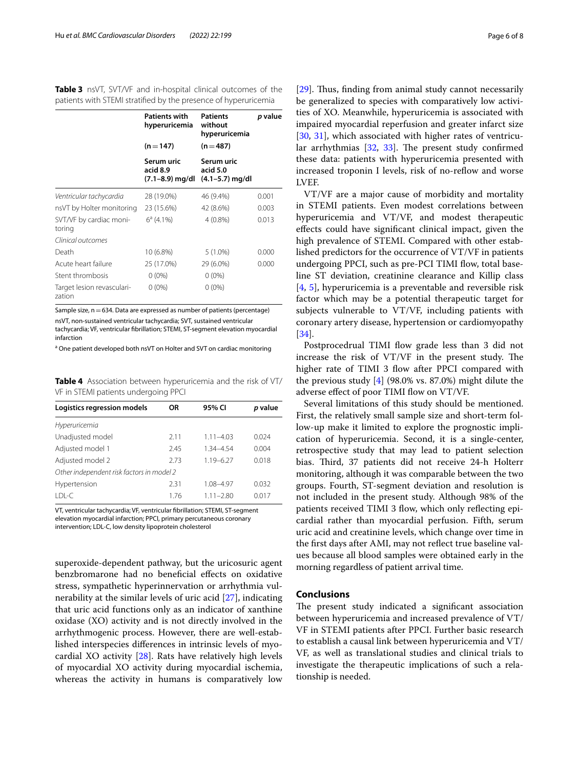<span id="page-5-0"></span>**Table 3** nsVT, SVT/VF and in-hospital clinical outcomes of the patients with STEMI stratifed by the presence of hyperuricemia

|                                      | <b>Patients with</b><br>hyperuricemia     | <b>Patients</b><br>without<br>hyperuricemia | p value |  |
|--------------------------------------|-------------------------------------------|---------------------------------------------|---------|--|
|                                      | $(n=147)$                                 | $(n=487)$                                   |         |  |
|                                      | Serum uric<br>acid 8.9<br>(7.1–8.9) mg/dl | Serum uric<br>acid 5.0<br>(4.1–5.7) mg/dl   |         |  |
| Ventricular tachycardia              | 28 (19.0%)                                | 46 (9.4%)                                   | 0.001   |  |
| nsVT by Holter monitoring            | 23 (15.6%)                                | 42 (8.6%)                                   | 0.003   |  |
| SVT/VF by cardiac moni-<br>toring    | $6^a$ (4.1%)                              | $4(0.8\%)$                                  | 0.013   |  |
| Clinical outcomes                    |                                           |                                             |         |  |
| Death                                | 10 (6.8%)                                 | $5(1.0\%)$                                  | 0.000   |  |
| Acute heart failure                  | 25 (17.0%)                                | 29 (6.0%)                                   | 0.000   |  |
| Stent thrombosis                     | $0(0\%)$                                  | $0(0\%)$                                    |         |  |
| Target lesion revasculari-<br>zation | $0(0\%)$                                  | $0(0\%)$                                    |         |  |
|                                      |                                           |                                             |         |  |

Sample size,  $n=634$ . Data are expressed as number of patients (percentage)

nsVT, non-sustained ventricular tachycardia; SVT, sustained ventricular tachycardia; VF, ventricular fbrillation; STEMI, ST-segment elevation myocardial infarction

<sup>a</sup> One patient developed both nsVT on Holter and SVT on cardiac monitoring

<span id="page-5-1"></span>**Table 4** Association between hyperuricemia and the risk of VT/ VF in STEMI patients undergoing PPCI

| Logistics regression models               | OR.  | 95% CI        | p value |  |  |
|-------------------------------------------|------|---------------|---------|--|--|
| Hyperuricemia                             |      |               |         |  |  |
| Unadjusted model                          | 2.11 | $1.11 - 4.03$ | 0.024   |  |  |
| Adjusted model 1                          | 2.45 | 1.34-4.54     | 0.004   |  |  |
| Adjusted model 2                          | 2.73 | $1.19 - 6.27$ | 0.018   |  |  |
| Other independent risk factors in model 2 |      |               |         |  |  |
| Hypertension                              | 2.31 | 1.08-4.97     | 0.032   |  |  |
| LDL-C                                     | 1.76 | $1.11 - 2.80$ | 0.017   |  |  |

VT, ventricular tachycardia; VF, ventricular fbrillation; STEMI, ST-segment elevation myocardial infarction; PPCI, primary percutaneous coronary intervention; LDL-C, low density lipoprotein cholesterol

superoxide-dependent pathway, but the uricosuric agent benzbromarone had no benefcial efects on oxidative stress, sympathetic hyperinnervation or arrhythmia vulnerability at the similar levels of uric acid [[27\]](#page-7-6), indicating that uric acid functions only as an indicator of xanthine oxidase (XO) activity and is not directly involved in the arrhythmogenic process. However, there are well-established interspecies diferences in intrinsic levels of myocardial XO activity [[28\]](#page-7-7). Rats have relatively high levels of myocardial XO activity during myocardial ischemia, whereas the activity in humans is comparatively low

[[29\]](#page-7-8). Thus, finding from animal study cannot necessarily be generalized to species with comparatively low activities of XO. Meanwhile, hyperuricemia is associated with impaired myocardial reperfusion and greater infarct size [[30,](#page-7-9) [31](#page-7-10)], which associated with higher rates of ventricular arrhythmias  $[32, 33]$  $[32, 33]$  $[32, 33]$  $[32, 33]$  $[32, 33]$ . The present study confirmed these data: patients with hyperuricemia presented with increased troponin I levels, risk of no-reflow and worse LVEF.

VT/VF are a major cause of morbidity and mortality in STEMI patients. Even modest correlations between hyperuricemia and VT/VF, and modest therapeutic efects could have signifcant clinical impact, given the high prevalence of STEMI. Compared with other established predictors for the occurrence of VT/VF in patients undergoing PPCI, such as pre-PCI TIMI flow, total baseline ST deviation, creatinine clearance and Killip class [[4,](#page-6-3) [5](#page-6-4)], hyperuricemia is a preventable and reversible risk factor which may be a potential therapeutic target for subjects vulnerable to VT/VF, including patients with coronary artery disease, hypertension or cardiomyopathy [[34\]](#page-7-13).

Postprocedrual TIMI flow grade less than 3 did not increase the risk of  $VT/VF$  in the present study. The higher rate of TIMI 3 flow after PPCI compared with the previous study  $[4]$  $[4]$  (98.0% vs. 87.0%) might dilute the adverse effect of poor TIMI flow on VT/VF.

Several limitations of this study should be mentioned. First, the relatively small sample size and short-term follow-up make it limited to explore the prognostic implication of hyperuricemia. Second, it is a single-center, retrospective study that may lead to patient selection bias. Third, 37 patients did not receive 24-h Holterr monitoring, although it was comparable between the two groups. Fourth, ST-segment deviation and resolution is not included in the present study. Although 98% of the patients received TIMI 3 flow, which only reflecting epicardial rather than myocardial perfusion. Fifth, serum uric acid and creatinine levels, which change over time in the frst days after AMI, may not refect true baseline values because all blood samples were obtained early in the morning regardless of patient arrival time.

## **Conclusions**

The present study indicated a significant association between hyperuricemia and increased prevalence of VT/ VF in STEMI patients after PPCI. Further basic research to establish a causal link between hyperuricemia and VT/ VF, as well as translational studies and clinical trials to investigate the therapeutic implications of such a relationship is needed.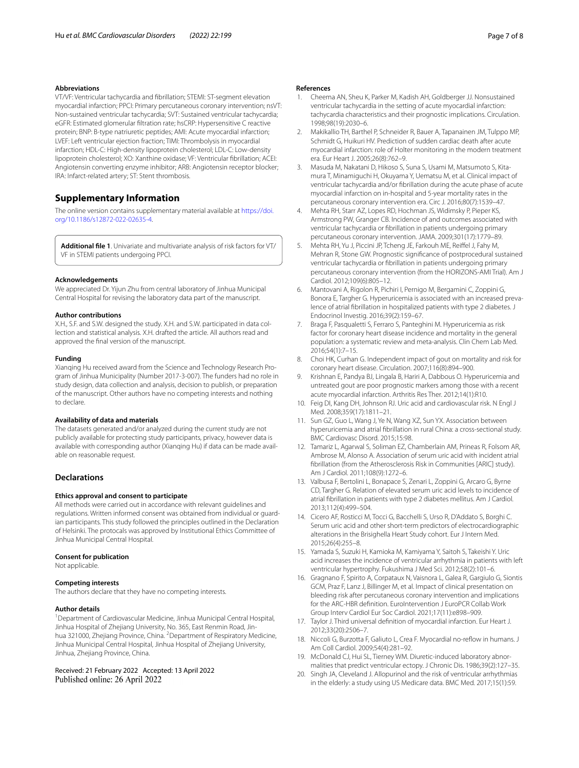VT/VF: Ventricular tachycardia and fbrillation; STEMI: ST-segment elevation myocardial infarction; PPCI: Primary percutaneous coronary intervention; nsVT: Non-sustained ventricular tachycardia; SVT: Sustained ventricular tachycardia; eGFR: Estimated glomerular fltration rate; hsCRP: Hypersensitive C reactive protein; BNP: B-type natriuretic peptides; AMI: Acute myocardial infarction; LVEF: Left ventricular ejection fraction; TIMI: Thrombolysis in myocardial infarction; HDL-C: High-density lipoprotein cholesterol; LDL-C: Low-density lipoprotein cholesterol; XO: Xanthine oxidase; VF: Ventricular fbrillation; ACEI: Angiotensin converting enzyme inhibitor; ARB: Angiotensin receptor blocker; IRA: Infarct-related artery; ST: Stent thrombosis.

## **Supplementary Information**

The online version contains supplementary material available at [https://doi.](https://doi.org/10.1186/s12872-022-02635-4) [org/10.1186/s12872-022-02635-4](https://doi.org/10.1186/s12872-022-02635-4).

<span id="page-6-16"></span>**Additional fle 1**. Univariate and multivariate analysis of risk factors for VT/ VF in STEMI patients undergoing PPCI.

#### **Acknowledgements**

We appreciated Dr. Yijun Zhu from central laboratory of Jinhua Municipal Central Hospital for revising the laboratory data part of the manuscript.

#### **Author contributions**

X.H., S.F. and S.W. designed the study. X.H. and S.W. participated in data collection and statistical analysis. X.H. drafted the article. All authors read and approved the fnal version of the manuscript.

## **Funding**

Xianqing Hu received award from the Science and Technology Research Program of Jinhua Municipality (Number 2017-3-007). The funders had no role in study design, data collection and analysis, decision to publish, or preparation of the manuscript. Other authors have no competing interests and nothing to declare.

#### **Availability of data and materials**

The datasets generated and/or analyzed during the current study are not publicly available for protecting study participants, privacy, however data is available with corresponding author (Xianqing Hu) if data can be made available on reasonable request.

## **Declarations**

## **Ethics approval and consent to participate**

All methods were carried out in accordance with relevant guidelines and regulations. Written informed consent was obtained from individual or guardian participants. This study followed the principles outlined in the Declaration of Helsinki. The protocals was approved by Institutional Ethics Committee of Jinhua Municipal Central Hospital.

#### **Consent for publication**

Not applicable.

#### **Competing interests**

The authors declare that they have no competing interests.

#### **Author details**

<sup>1</sup> Department of Cardiovascular Medicine, Jinhua Municipal Central Hospital, Jinhua Hospital of Zhejiang University, No. 365, East Renmin Road, Jinhua 321000, Zhejiang Province, China. <sup>2</sup> Department of Respiratory Medicine, Jinhua Municipal Central Hospital, Jinhua Hospital of Zhejiang University, Jinhua, Zhejiang Province, China.

Received: 21 February 2022 Accepted: 13 April 2022 Published online: 26 April 2022

#### **References**

- <span id="page-6-0"></span>1. Cheema AN, Sheu K, Parker M, Kadish AH, Goldberger JJ. Nonsustained ventricular tachycardia in the setting of acute myocardial infarction: tachycardia characteristics and their prognostic implications. Circulation. 1998;98(19):2030–6.
- <span id="page-6-1"></span>2. Makikallio TH, Barthel P, Schneider R, Bauer A, Tapanainen JM, Tulppo MP, Schmidt G, Huikuri HV. Prediction of sudden cardiac death after acute myocardial infarction: role of Holter monitoring in the modern treatment era. Eur Heart J. 2005;26(8):762–9.
- <span id="page-6-2"></span>3. Masuda M, Nakatani D, Hikoso S, Suna S, Usami M, Matsumoto S, Kitamura T, Minamiguchi H, Okuyama Y, Uematsu M, et al. Clinical impact of ventricular tachycardia and/or fbrillation during the acute phase of acute myocardial infarction on in-hospital and 5-year mortality rates in the percutaneous coronary intervention era. Circ J. 2016;80(7):1539–47.
- <span id="page-6-3"></span>4. Mehta RH, Starr AZ, Lopes RD, Hochman JS, Widimsky P, Pieper KS, Armstrong PW, Granger CB. Incidence of and outcomes associated with ventricular tachycardia or fbrillation in patients undergoing primary percutaneous coronary intervention. JAMA. 2009;301(17):1779–89.
- <span id="page-6-4"></span>5. Mehta RH, Yu J, Piccini JP, Tcheng JE, Farkouh ME, Reifel J, Fahy M, Mehran R, Stone GW. Prognostic signifcance of postprocedural sustained ventricular tachycardia or fbrillation in patients undergoing primary percutaneous coronary intervention (from the HORIZONS-AMI Trial). Am J Cardiol. 2012;109(6):805–12.
- <span id="page-6-5"></span>6. Mantovani A, Rigolon R, Pichiri I, Pernigo M, Bergamini C, Zoppini G, Bonora E, Targher G. Hyperuricemia is associated with an increased prevalence of atrial fbrillation in hospitalized patients with type 2 diabetes. J Endocrinol Investig. 2016;39(2):159–67.
- <span id="page-6-6"></span>7. Braga F, Pasqualetti S, Ferraro S, Panteghini M. Hyperuricemia as risk factor for coronary heart disease incidence and mortality in the general population: a systematic review and meta-analysis. Clin Chem Lab Med. 2016;54(1):7–15.
- 8. Choi HK, Curhan G. Independent impact of gout on mortality and risk for coronary heart disease. Circulation. 2007;116(8):894–900.
- 9. Krishnan E, Pandya BJ, Lingala B, Hariri A, Dabbous O. Hyperuricemia and untreated gout are poor prognostic markers among those with a recent acute myocardial infarction. Arthritis Res Ther. 2012;14(1):R10.
- <span id="page-6-7"></span>10. Feig DI, Kang DH, Johnson RJ. Uric acid and cardiovascular risk. N Engl J Med. 2008;359(17):1811–21.
- <span id="page-6-8"></span>11. Sun GZ, Guo L, Wang J, Ye N, Wang XZ, Sun YX. Association between hyperuricemia and atrial fbrillation in rural China: a cross-sectional study. BMC Cardiovasc Disord. 2015;15:98.
- <span id="page-6-9"></span>12. Tamariz L, Agarwal S, Soliman EZ, Chamberlain AM, Prineas R, Folsom AR, Ambrose M, Alonso A. Association of serum uric acid with incident atrial fbrillation (from the Atherosclerosis Risk in Communities [ARIC] study). Am J Cardiol. 2011;108(9):1272–6.
- <span id="page-6-10"></span>13. Valbusa F, Bertolini L, Bonapace S, Zenari L, Zoppini G, Arcaro G, Byrne CD, Targher G. Relation of elevated serum uric acid levels to incidence of atrial fbrillation in patients with type 2 diabetes mellitus. Am J Cardiol. 2013;112(4):499–504.
- <span id="page-6-11"></span>14. Cicero AF, Rosticci M, Tocci G, Bacchelli S, Urso R, D'Addato S, Borghi C. Serum uric acid and other short-term predictors of electrocardiographic alterations in the Brisighella Heart Study cohort. Eur J Intern Med. 2015;26(4):255–8.
- <span id="page-6-12"></span>15. Yamada S, Suzuki H, Kamioka M, Kamiyama Y, Saitoh S, Takeishi Y. Uric acid increases the incidence of ventricular arrhythmia in patients with left ventricular hypertrophy. Fukushima J Med Sci. 2012;58(2):101–6.
- <span id="page-6-13"></span>16. Gragnano F, Spirito A, Corpataux N, Vaisnora L, Galea R, Gargiulo G, Siontis GCM, Praz F, Lanz J, Billinger M, et al. Impact of clinical presentation on bleeding risk after percutaneous coronary intervention and implications for the ARC-HBR defnition. EuroIntervention J EuroPCR Collab Work Group Interv Cardiol Eur Soc Cardiol. 2021;17(11):e898–909.
- <span id="page-6-14"></span>17. Taylor J. Third universal defnition of myocardial infarction. Eur Heart J. 2012;33(20):2506–7.
- <span id="page-6-15"></span>18. Niccoli G, Burzotta F, Galiuto L, Crea F. Myocardial no-refow in humans. J Am Coll Cardiol. 2009;54(4):281–92.
- <span id="page-6-17"></span>19. McDonald CJ, Hui SL, Tierney WM. Diuretic-induced laboratory abnormalities that predict ventricular ectopy. J Chronic Dis. 1986;39(2):127–35.
- <span id="page-6-18"></span>20. Singh JA, Cleveland J. Allopurinol and the risk of ventricular arrhythmias in the elderly: a study using US Medicare data. BMC Med. 2017;15(1):59.